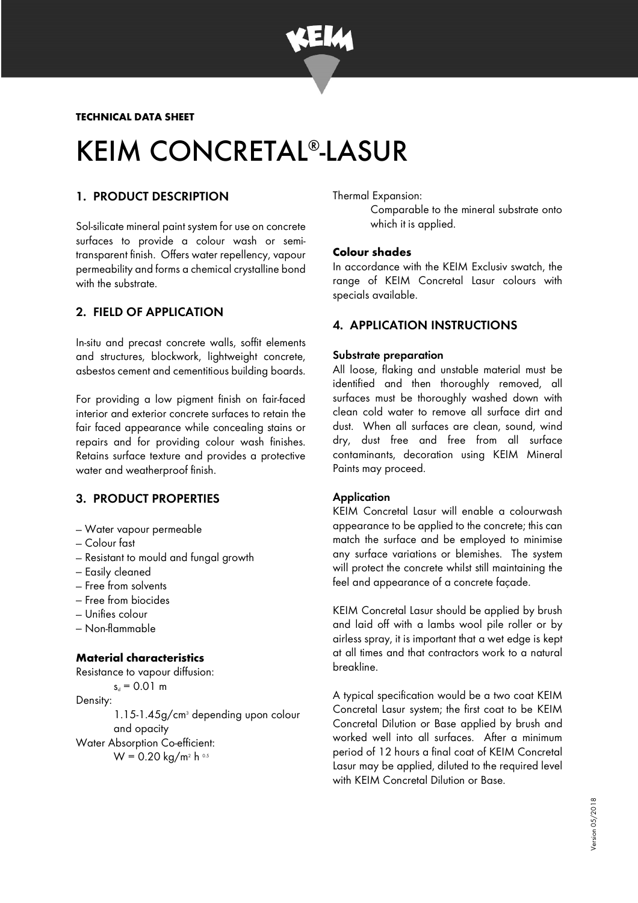

# KEIM CONCRETAL<sup>®</sup>-LASUR

# 1. PRODUCT DESCRIPTION

Sol-silicate mineral paint system for use on concrete surfaces to provide a colour wash or semitransparent finish. Offers water repellency, vapour permeability and forms a chemical crystalline bond with the substrate.

# 2. FIELD OF APPLICATION

In-situ and precast concrete walls, soffit elements and structures, blockwork, lightweight concrete, asbestos cement and cementitious building boards.

For providing a low pigment finish on fair-faced interior and exterior concrete surfaces to retain the fair faced appearance while concealing stains or repairs and for providing colour wash finishes. Retains surface texture and provides a protective water and weatherproof finish.

## 3. PRODUCT PROPERTIES

- Water vapour permeable
- Colour fast
- Resistant to mould and fungal growth
- Easily cleaned
- Free from solvents
- Free from biocides
- Unifies colour
- Non-flammable

## **Material characteristics**

Resistance to vapour diffusion:  $s_d = 0.01$  m Density: 1.15-1.45g/cm<sup>3</sup> depending upon colour and opacity Water Absorption Co-efficient: W = 0.20 kg/m<sup>2</sup> h 0.5

Thermal Expansion:

Comparable to the mineral substrate onto which it is applied.

## **Colour shades**

In accordance with the KEIM Exclusiv swatch, the range of KEIM Concretal Lasur colours with specials available.

## 4. APPLICATION INSTRUCTIONS

### Substrate preparation

All loose, flaking and unstable material must be identified and then thoroughly removed, all surfaces must be thoroughly washed down with clean cold water to remove all surface dirt and dust. When all surfaces are clean, sound, wind dry, dust free and free from all surface contaminants, decoration using KEIM Mineral Paints may proceed.

### **Application**

KEIM Concretal Lasur will enable a colourwash appearance to be applied to the concrete; this can match the surface and be employed to minimise any surface variations or blemishes. The system will protect the concrete whilst still maintaining the feel and appearance of a concrete façade.

KEIM Concretal Lasur should be applied by brush and laid off with a lambs wool pile roller or by airless spray, it is important that a wet edge is kept at all times and that contractors work to a natural breakline.

A typical specification would be a two coat KEIM Concretal Lasur system; the first coat to be KEIM Concretal Dilution or Base applied by brush and worked well into all surfaces. After a minimum period of 12 hours a final coat of KEIM Concretal Lasur may be applied, diluted to the required level with KEIM Concretal Dilution or Base.